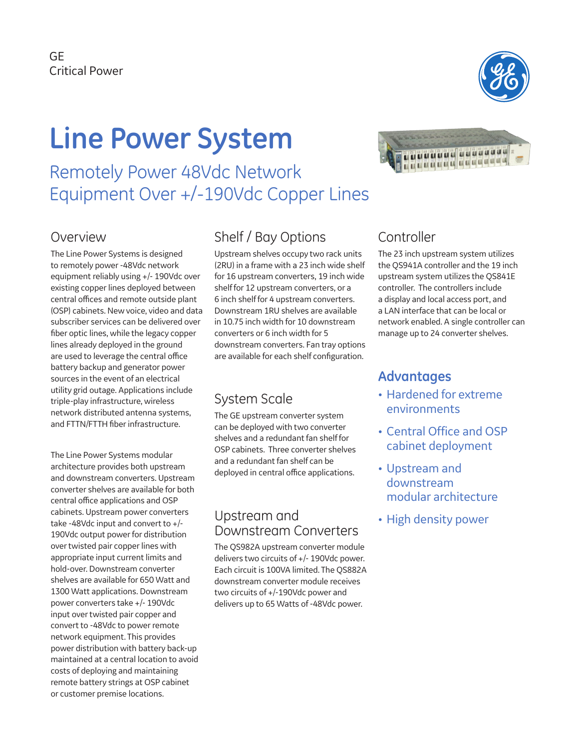

# **Line Power System**

Remotely Power 48Vdc Network Equipment Over +/-190Vdc Copper Lines

#### **Overview**

The Line Power Systems is designed to remotely power -48Vdc network equipment reliably using +/- 190Vdc over existing copper lines deployed between central offices and remote outside plant (OSP) cabinets. New voice, video and data subscriber services can be delivered over fiber optic lines, while the legacy copper lines already deployed in the ground are used to leverage the central office battery backup and generator power sources in the event of an electrical utility grid outage. Applications include triple-play infrastructure, wireless network distributed antenna systems, and FTTN/FTTH fiber infrastructure.

The Line Power Systems modular architecture provides both upstream and downstream converters. Upstream converter shelves are available for both central office applications and OSP cabinets. Upstream power converters take -48Vdc input and convert to +/- 190Vdc output power for distribution over twisted pair copper lines with appropriate input current limits and hold-over. Downstream converter shelves are available for 650 Watt and 1300 Watt applications. Downstream power converters take +/- 190Vdc input over twisted pair copper and convert to -48Vdc to power remote network equipment. This provides power distribution with battery back-up maintained at a central location to avoid costs of deploying and maintaining remote battery strings at OSP cabinet or customer premise locations.

## Shelf / Bay Options

Upstream shelves occupy two rack units (2RU) in a frame with a 23 inch wide shelf for 16 upstream converters, 19 inch wide shelf for 12 upstream converters, or a 6 inch shelf for 4 upstream converters. Downstream 1RU shelves are available in 10.75 inch width for 10 downstream converters or 6 inch width for 5 downstream converters. Fan tray options are available for each shelf configuration.

### System Scale

The GE upstream converter system can be deployed with two converter shelves and a redundant fan shelf for OSP cabinets. Three converter shelves and a redundant fan shelf can be deployed in central office applications.

#### Upstream and Downstream Converters

The QS982A upstream converter module delivers two circuits of +/- 190Vdc power. Each circuit is 100VA limited. The QS882A downstream converter module receives two circuits of +/-190Vdc power and delivers up to 65 Watts of -48Vdc power.



## Controller

The 23 inch upstream system utilizes the QS941A controller and the 19 inch upstream system utilizes the QS841E controller. The controllers include a display and local access port, and a LAN interface that can be local or network enabled. A single controller can manage up to 24 converter shelves.

#### **Advantages**

- Hardened for extreme environments
- Central Office and OSP cabinet deployment
- Upstream and downstream modular architecture
- High density power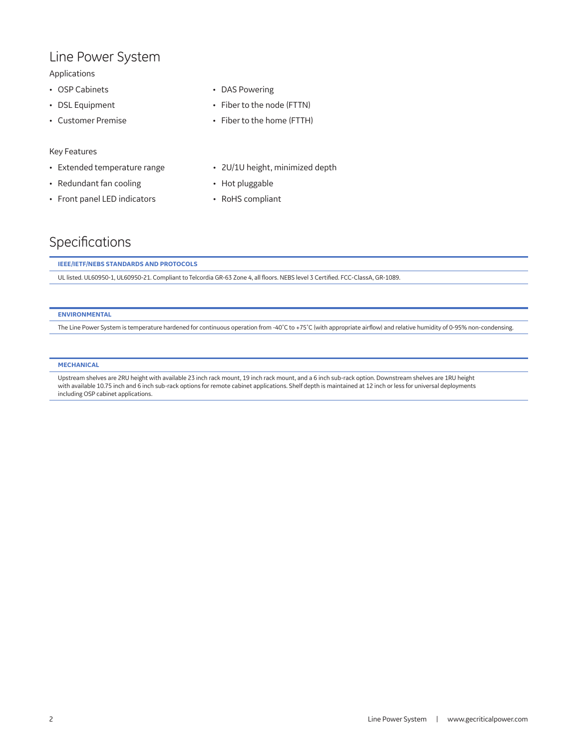#### Line Power System

#### Applications

- OSP Cabinets
- DSL Equipment
- Customer Premise

#### Key Features

- Extended temperature range
- Redundant fan cooling
- Front panel LED indicators
- DAS Powering
- Fiber to the node (FTTN)
- Fiber to the home (FTTH)
- 2U/1U height, minimized depth
- Hot pluggable
- RoHS compliant

#### Specifications

#### **IEEE/IETF/NEBS STANDARDS AND PROTOCOLS**

UL listed. UL60950-1, UL60950-21. Compliant to Telcordia GR-63 Zone 4, all floors. NEBS level 3 Certified. FCC-ClassA, GR-1089.

#### **ENVIRONMENTAL**

The Line Power System is temperature hardened for continuous operation from -40˚C to +75˚C (with appropriate airflow) and relative humidity of 0-95% non-condensing.

#### **MECHANICAL**

Upstream shelves are 2RU height with available 23 inch rack mount, 19 inch rack mount, and a 6 inch sub-rack option. Downstream shelves are 1RU height with available 10.75 inch and 6 inch sub-rack options for remote cabinet applications. Shelf depth is maintained at 12 inch or less for universal deployments including OSP cabinet applications.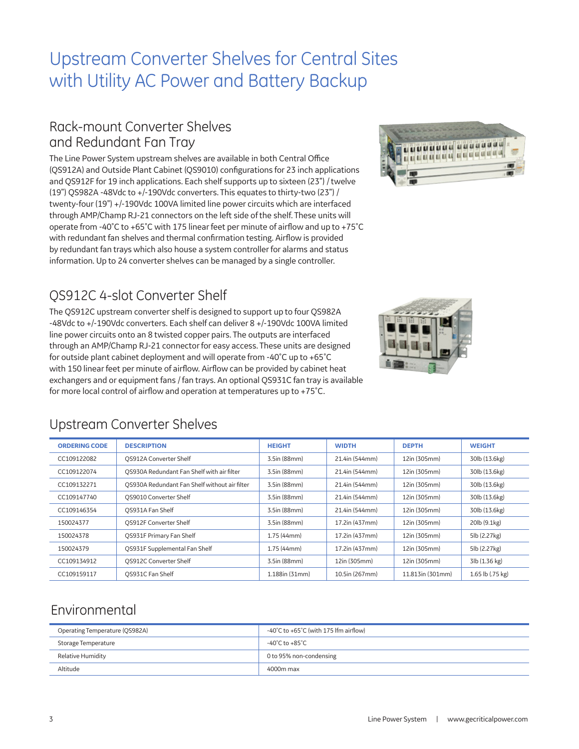## Upstream Converter Shelves for Central Sites with Utility AC Power and Battery Backup

#### Rack-mount Converter Shelves and Redundant Fan Tray

The Line Power System upstream shelves are available in both Central Office (QS912A) and Outside Plant Cabinet (QS9010) configurations for 23 inch applications and QS912F for 19 inch applications. Each shelf supports up to sixteen (23") / twelve (19") QS982A -48Vdc to +/-190Vdc converters. This equates to thirty-two (23") / twenty-four (19") +/-190Vdc 100VA limited line power circuits which are interfaced through AMP/Champ RJ-21 connectors on the left side of the shelf. These units will operate from -40˚C to +65˚C with 175 linear feet per minute of airflow and up to +75˚C with redundant fan shelves and thermal confirmation testing. Airflow is provided by redundant fan trays which also house a system controller for alarms and status information. Up to 24 converter shelves can be managed by a single controller.

#### QS912C 4-slot Converter Shelf

The QS912C upstream converter shelf is designed to support up to four QS982A -48Vdc to +/-190Vdc converters. Each shelf can deliver 8 +/-190Vdc 100VA limited line power circuits onto an 8 twisted copper pairs. The outputs are interfaced through an AMP/Champ RJ-21 connector for easy access. These units are designed for outside plant cabinet deployment and will operate from -40˚C up to +65˚C with 150 linear feet per minute of airflow. Airflow can be provided by cabinet heat exchangers and or equipment fans / fan trays. An optional QS931C fan tray is available for more local control of airflow and operation at temperatures up to +75˚C.





#### Upstream Converter Shelves

| <b>ORDERING CODE</b> | <b>DESCRIPTION</b>                            | <b>HEIGHT</b>  | <b>WIDTH</b>   | <b>DEPTH</b>     | <b>WEIGHT</b>    |
|----------------------|-----------------------------------------------|----------------|----------------|------------------|------------------|
| CC109122082          | <b>QS912A Converter Shelf</b>                 | 3.5in (88mm)   | 21.4in (544mm) | 12in (305mm)     | 30lb (13.6kg)    |
| CC109122074          | OS930A Redundant Fan Shelf with air filter    | 3.5in (88mm)   | 21.4in (544mm) | 12in (305mm)     | 30lb (13.6kg)    |
| CC109132271          | OS930A Redundant Fan Shelf without air filter | 3.5in (88mm)   | 21.4in (544mm) | 12in (305mm)     | 30lb (13.6kg)    |
| CC109147740          | OS9010 Converter Shelf                        | 3.5in (88mm)   | 21.4in (544mm) | 12in (305mm)     | 30lb (13.6kg)    |
| CC109146354          | OS931A Fan Shelf                              | 3.5in (88mm)   | 21.4in (544mm) | 12in (305mm)     | 30lb (13.6kg)    |
| 150024377            | OS912F Converter Shelf                        | 3.5in (88mm)   | 17.2in (437mm) | 12in (305mm)     | 20lb (9.1kg)     |
| 150024378            | <b>OS931F Primary Fan Shelf</b>               | 1.75(44mm)     | 17.2in (437mm) | 12in (305mm)     | 5lb (2.27kg)     |
| 150024379            | QS931F Supplemental Fan Shelf                 | 1.75(44mm)     | 17.2in (437mm) | 12in (305mm)     | 5lb (2.27kg)     |
| CC109134912          | OS912C Converter Shelf                        | 3.5in (88mm)   | 12in (305mm)   | 12in (305mm)     | 3lb (1.36 kg)    |
| CC109159117          | OS931C Fan Shelf                              | 1.188in (31mm) | 10.5in (267mm) | 11.813in (301mm) | 1.65 lb (.75 kg) |

#### Environmental

| Operating Temperature (QS982A) | -40°C to +65°C (with 175 lfm airflow) |
|--------------------------------|---------------------------------------|
| Storage Temperature            | -40°C to +85°C                        |
| Relative Humidity              | 0 to 95% non-condensing               |
| Altitude                       | 4000m max                             |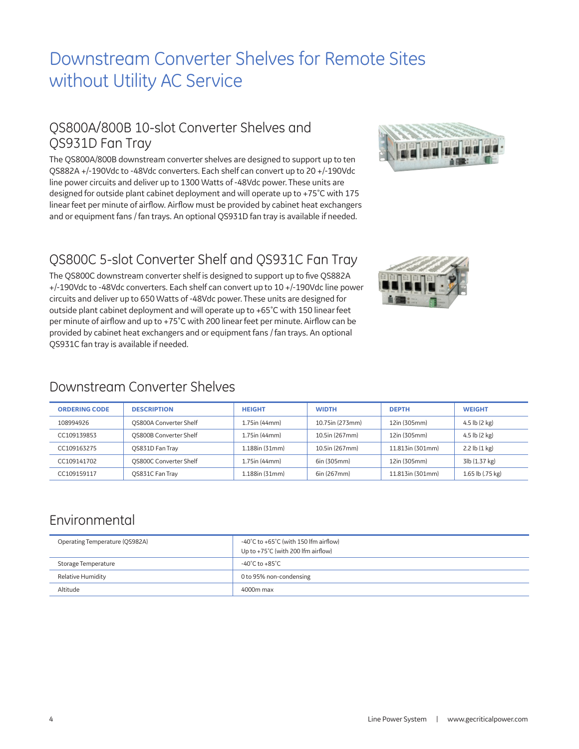## Downstream Converter Shelves for Remote Sites without Utility AC Service

#### QS800A/800B 10-slot Converter Shelves and QS931D Fan Tray

The QS800A/800B downstream converter shelves are designed to support up to ten QS882A +/-190Vdc to -48Vdc converters. Each shelf can convert up to 20 +/-190Vdc line power circuits and deliver up to 1300 Watts of -48Vdc power. These units are designed for outside plant cabinet deployment and will operate up to +75˚C with 175 linear feet per minute of airflow. Airflow must be provided by cabinet heat exchangers and or equipment fans / fan trays. An optional QS931D fan tray is available if needed.



### QS800C 5-slot Converter Shelf and QS931C Fan Tray

The QS800C downstream converter shelf is designed to support up to five QS882A +/-190Vdc to -48Vdc converters. Each shelf can convert up to 10 +/-190Vdc line power circuits and deliver up to 650 Watts of -48Vdc power. These units are designed for outside plant cabinet deployment and will operate up to +65˚C with 150 linear feet per minute of airflow and up to +75˚C with 200 linear feet per minute. Airflow can be provided by cabinet heat exchangers and or equipment fans / fan trays. An optional QS931C fan tray is available if needed.



#### Downstream Converter Shelves

| <b>ORDERING CODE</b> | <b>DESCRIPTION</b>            | <b>HEIGHT</b>    | <b>WIDTH</b>    | <b>DEPTH</b>     | <b>WEIGHT</b>             |
|----------------------|-------------------------------|------------------|-----------------|------------------|---------------------------|
| 108994926            | <b>QS800A Converter Shelf</b> | 1.75in (44mm)    | 10.75in (273mm) | 12in (305mm)     | 4.5 $\vert$ b (2 kg)      |
| CC109139853          | <b>QS800B Converter Shelf</b> | 1.75in (44mm)    | 10.5in (267mm)  | 12in (305mm)     | 4.5 $\vert$ b (2 kg)      |
| CC109163275          | OS831D Fan Tray               | 1.188in (31mm)   | 10.5in (267mm)  | 11.813in (301mm) | $2.2$ lb $(1 \text{ kg})$ |
| CC109141702          | <b>QS800C Converter Shelf</b> | $1.75$ in (44mm) | 6in (305mm)     | 12in (305mm)     | 3lb (1.37 kg)             |
| CC109159117          | QS831C Fan Tray               | 1.188in (31mm)   | 6in (267mm)     | 11.813in (301mm) | 1.65 lb (.75 kg)          |

#### Environmental

| Operating Temperature (QS982A) | $-40^{\circ}$ C to $+65^{\circ}$ C (with 150 lfm airflow)<br>Up to +75°C (with 200 lfm airflow) |
|--------------------------------|-------------------------------------------------------------------------------------------------|
| Storage Temperature            | $-40^{\circ}$ C to $+85^{\circ}$ C                                                              |
| Relative Humidity              | 0 to 95% non-condensing                                                                         |
| Altitude                       | 4000m max                                                                                       |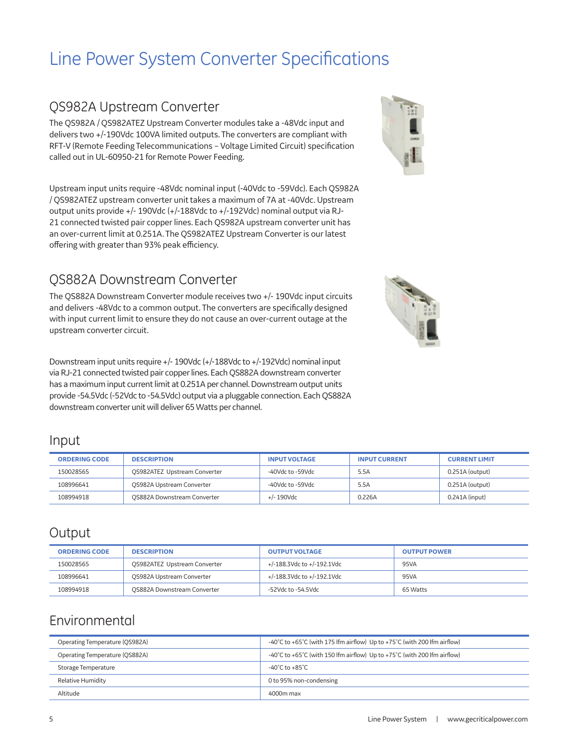## Line Power System Converter Specifications

#### QS982A Upstream Converter

The QS982A / QS982ATEZ Upstream Converter modules take a -48Vdc input and delivers two +/-190Vdc 100VA limited outputs. The converters are compliant with RFT-V (Remote Feeding Telecommunications – Voltage Limited Circuit) specification called out in UL-60950-21 for Remote Power Feeding.

Upstream input units require -48Vdc nominal input (-40Vdc to -59Vdc). Each QS982A / QS982ATEZ upstream converter unit takes a maximum of 7A at -40Vdc. Upstream output units provide +/- 190Vdc (+/-188Vdc to +/-192Vdc) nominal output via RJ-21 connected twisted pair copper lines. Each QS982A upstream converter unit has an over-current limit at 0.251A. The QS982ATEZ Upstream Converter is our latest offering with greater than 93% peak efficiency.

#### QS882A Downstream Converter

The QS882A Downstream Converter module receives two +/- 190Vdc input circuits and delivers -48Vdc to a common output. The converters are specifically designed with input current limit to ensure they do not cause an over-current outage at the upstream converter circuit.

Downstream input units require +/- 190Vdc (+/-188Vdc to +/-192Vdc) nominal input via RJ-21 connected twisted pair copper lines. Each QS882A downstream converter has a maximum input current limit at 0.251A per channel. Downstream output units provide -54.5Vdc (-52Vdc to -54.5Vdc) output via a pluggable connection. Each QS882A downstream converter unit will deliver 65 Watts per channel.

#### Input

| <b>ORDERING CODE</b> | <b>DESCRIPTION</b>                  | <b>INPUT VOLTAGE</b> | <b>INPUT CURRENT</b> | <b>CURRENT LIMIT</b> |
|----------------------|-------------------------------------|----------------------|----------------------|----------------------|
| 150028565            | <b>OS982ATEZ Upstream Converter</b> | -40Vdc to -59Vdc     | 5.5A                 | $0.251A$ (output)    |
| 108996641            | QS982A Upstream Converter           | -40Vdc to -59Vdc     | 5.5A                 | 0.251A (output)      |
| 108994918            | <b>QS882A Downstream Converter</b>  | +/- 190Vdc           | 0.226A               | 0.241A (input)       |

#### **Output**

| <b>ORDERING CODE</b> | <b>DESCRIPTION</b>                  | <b>OUTPUT VOLTAGE</b>      | <b>OUTPUT POWER</b> |
|----------------------|-------------------------------------|----------------------------|---------------------|
| 150028565            | <b>QS982ATEZ Upstream Converter</b> | +/-188.3Vdc to +/-192.1Vdc | 95VA                |
| 108996641            | QS982A Upstream Converter           | +/-188.3Vdc to +/-192.1Vdc | 95VA                |
| 108994918            | <b>QS882A Downstream Converter</b>  | -52Vdc to -54.5Vdc         | 65 Watts            |

#### Environmental

| Operating Temperature (OS982A) | -40°C to +65°C (with 175 lfm airflow) Up to +75°C (with 200 lfm airflow)                               |
|--------------------------------|--------------------------------------------------------------------------------------------------------|
| Operating Temperature (OS882A) | $-40^{\circ}$ C to $+65^{\circ}$ C (with 150 lfm airflow) Up to $+75^{\circ}$ C (with 200 lfm airflow) |
| Storage Temperature            | -40°C to +85°C                                                                                         |
| <b>Relative Humidity</b>       | 0 to 95% non-condensing                                                                                |
| Altitude                       | 4000m max                                                                                              |





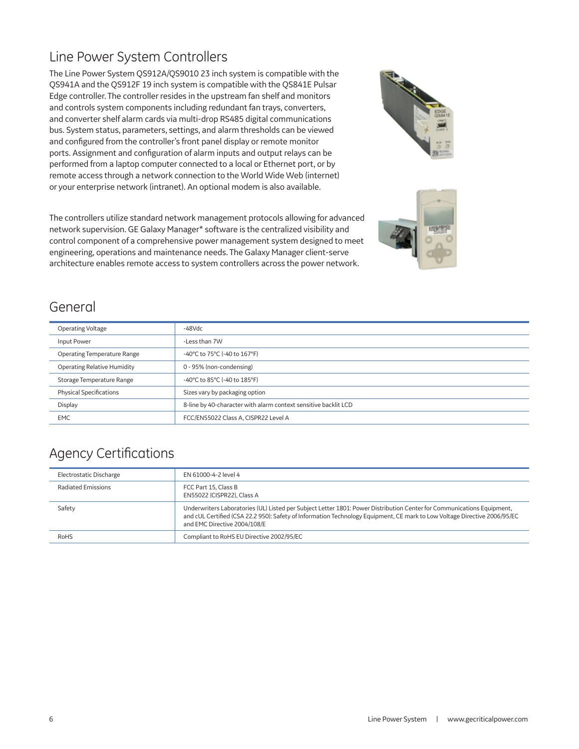#### Line Power System Controllers

The Line Power System QS912A/QS9010 23 inch system is compatible with the QS941A and the QS912F 19 inch system is compatible with the QS841E Pulsar Edge controller. The controller resides in the upstream fan shelf and monitors and controls system components including redundant fan trays, converters, and converter shelf alarm cards via multi-drop RS485 digital communications bus. System status, parameters, settings, and alarm thresholds can be viewed and configured from the controller's front panel display or remote monitor ports. Assignment and configuration of alarm inputs and output relays can be performed from a laptop computer connected to a local or Ethernet port, or by remote access through a network connection to the World Wide Web (internet) or your enterprise network (intranet). An optional modem is also available.

The controllers utilize standard network management protocols allowing for advanced network supervision. GE Galaxy Manager\* software is the centralized visibility and control component of a comprehensive power management system designed to meet engineering, operations and maintenance needs. The Galaxy Manager client-serve architecture enables remote access to system controllers across the power network.





#### General

| Operating Voltage                  | -48Vdc                                                          |
|------------------------------------|-----------------------------------------------------------------|
| Input Power                        | -Less than 7W                                                   |
| <b>Operating Temperature Range</b> | -40°C to 75°C (-40 to 167°F)                                    |
| <b>Operating Relative Humidity</b> | 0 - 95% (non-condensing)                                        |
| Storage Temperature Range          | -40°C to 85°C (-40 to 185°F)                                    |
| <b>Physical Specifications</b>     | Sizes vary by packaging option                                  |
| Display                            | 8-line by 40-character with alarm context sensitive backlit LCD |
| <b>EMC</b>                         | FCC/EN55022 Class A, CISPR22 Level A                            |

### Agency Certifications

| Electrostatic Discharge | EN 61000-4-2 level 4                                                                                                                                                                                                                                                                |
|-------------------------|-------------------------------------------------------------------------------------------------------------------------------------------------------------------------------------------------------------------------------------------------------------------------------------|
| Radiated Emissions      | FCC Part 15, Class B<br>EN55022 (CISPR22). Class A                                                                                                                                                                                                                                  |
| Safety                  | Underwriters Laboratories (UL) Listed per Subject Letter 1801: Power Distribution Center for Communications Equipment,<br>and cUL Certified (CSA 22.2 950): Safety of Information Technology Equipment, CE mark to Low Voltage Directive 2006/95/EC<br>and EMC Directive 2004/108/E |
| RoHS                    | Compliant to RoHS EU Directive 2002/95/EC                                                                                                                                                                                                                                           |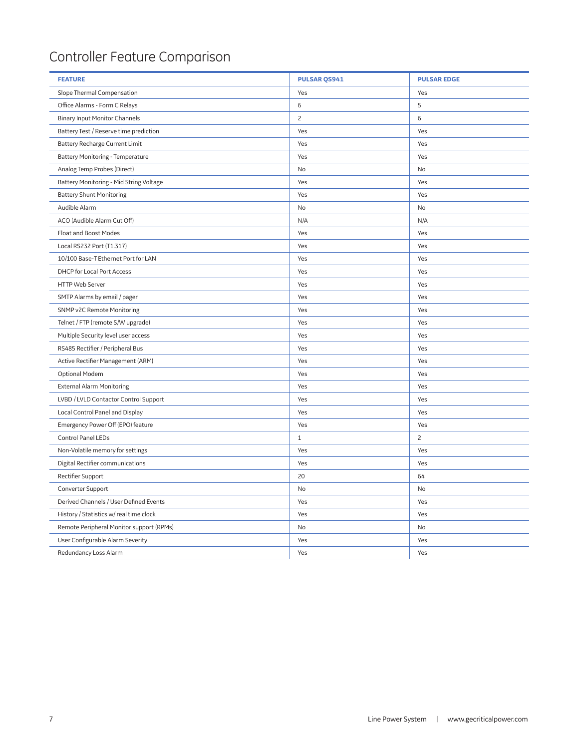## Controller Feature Comparison

| <b>FEATURE</b>                           | <b>PULSAR QS941</b> | <b>PULSAR EDGE</b> |
|------------------------------------------|---------------------|--------------------|
| Slope Thermal Compensation               | Yes                 | Yes                |
| Office Alarms - Form C Relays            | 6                   | 5                  |
| <b>Binary Input Monitor Channels</b>     | $\overline{c}$      | 6                  |
| Battery Test / Reserve time prediction   | Yes                 | Yes                |
| Battery Recharge Current Limit           | Yes                 | Yes                |
| <b>Battery Monitoring - Temperature</b>  | Yes                 | Yes                |
| Analog Temp Probes (Direct)              | $\mathsf{No}$       | No                 |
| Battery Monitoring - Mid String Voltage  | Yes                 | Yes                |
| <b>Battery Shunt Monitoring</b>          | Yes                 | Yes                |
| Audible Alarm                            | No                  | No                 |
| ACO (Audible Alarm Cut Off)              | N/A                 | N/A                |
| Float and Boost Modes                    | Yes                 | Yes                |
| Local RS232 Port (T1.317)                | Yes                 | Yes                |
| 10/100 Base-T Ethernet Port for LAN      | Yes                 | Yes                |
| DHCP for Local Port Access               | Yes                 | Yes                |
| <b>HTTP Web Server</b>                   | Yes                 | Yes                |
| SMTP Alarms by email / pager             | Yes                 | Yes                |
| SNMP v2C Remote Monitoring               | Yes                 | Yes                |
| Telnet / FTP (remote S/W upgrade)        | Yes                 | Yes                |
| Multiple Security level user access      | Yes                 | Yes                |
| RS485 Rectifier / Peripheral Bus         | Yes                 | Yes                |
| Active Rectifier Management (ARM)        | Yes                 | Yes                |
| Optional Modem                           | Yes                 | Yes                |
| <b>External Alarm Monitoring</b>         | Yes                 | Yes                |
| LVBD / LVLD Contactor Control Support    | Yes                 | Yes                |
| Local Control Panel and Display          | Yes                 | Yes                |
| Emergency Power Off (EPO) feature        | Yes                 | Yes                |
| Control Panel LEDs                       | $1\,$               | $\overline{c}$     |
| Non-Volatile memory for settings         | Yes                 | Yes                |
| Digital Rectifier communications         | Yes                 | Yes                |
| Rectifier Support                        | 20                  | 64                 |
| Converter Support                        | No                  | No                 |
| Derived Channels / User Defined Events   | Yes                 | Yes                |
| History / Statistics w/ real time clock  | Yes                 | Yes                |
| Remote Peripheral Monitor support (RPMs) | No                  | No                 |
| User Configurable Alarm Severity         | Yes                 | Yes                |
| Redundancy Loss Alarm                    | Yes                 | Yes                |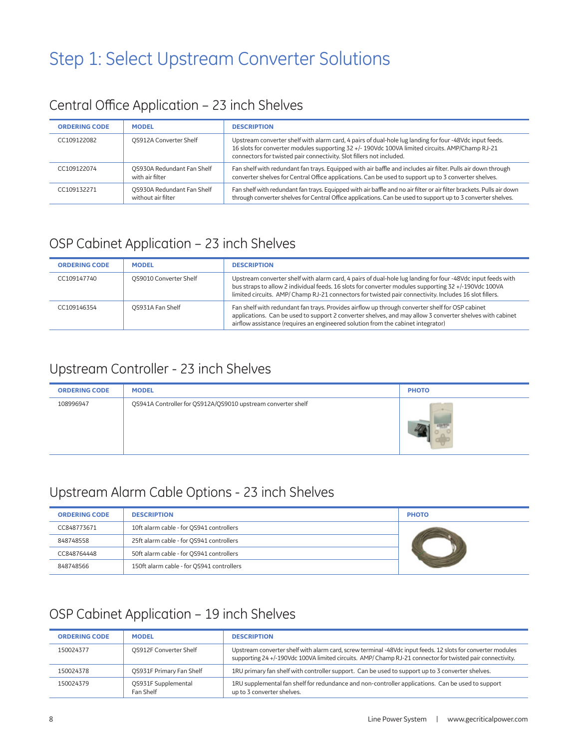## Step 1: Select Upstream Converter Solutions

## Central Office Application – 23 inch Shelves

| <b>ORDERING CODE</b> | <b>MODEL</b>                                     | <b>DESCRIPTION</b>                                                                                                                                                                                                                                                                 |
|----------------------|--------------------------------------------------|------------------------------------------------------------------------------------------------------------------------------------------------------------------------------------------------------------------------------------------------------------------------------------|
| CC109122082          | OS912A Converter Shelf                           | Upstream converter shelf with alarm card, 4 pairs of dual-hole lug landing for four -48Vdc input feeds.<br>16 slots for converter modules supporting 32 +/- 190Vdc 100VA limited circuits. AMP/Champ RJ-21<br>connectors for twisted pair connectivity. Slot fillers not included. |
| CC109122074          | QS930A Redundant Fan Shelf<br>with air filter    | Fan shelf with redundant fan trays. Equipped with air baffle and includes air filter. Pulls air down through<br>converter shelves for Central Office applications. Can be used to support up to 3 converter shelves.                                                               |
| CC109132271          | QS930A Redundant Fan Shelf<br>without air filter | Fan shelf with redundant fan trays. Equipped with air baffle and no air filter or air filter brackets. Pulls air down<br>through converter shelves for Central Office applications. Can be used to support up to 3 converter shelves.                                              |

#### OSP Cabinet Application – 23 inch Shelves

| <b>ORDERING CODE</b> | <b>MODEL</b>           | <b>DESCRIPTION</b>                                                                                                                                                                                                                                                                                                            |
|----------------------|------------------------|-------------------------------------------------------------------------------------------------------------------------------------------------------------------------------------------------------------------------------------------------------------------------------------------------------------------------------|
| CC109147740          | OS9010 Converter Shelf | Upstream converter shelf with alarm card, 4 pairs of dual-hole lug landing for four -48Vdc input feeds with<br>bus straps to allow 2 individual feeds. 16 slots for converter modules supporting 32 +/-190Vdc 100VA<br>limited circuits. AMP/ Champ RJ-21 connectors for twisted pair connectivity. Includes 16 slot fillers. |
| CC109146354          | OS931A Fan Shelf       | Fan shelf with redundant fan trays. Provides airflow up through converter shelf for OSP cabinet<br>applications. Can be used to support 2 converter shelves, and may allow 3 converter shelves with cabinet<br>airflow assistance (requires an engineered solution from the cabinet integrator)                               |

### Upstream Controller - 23 inch Shelves

| <b>ORDERING CODE</b> | <b>MODEL</b>                                                 | <b>PHOTO</b> |
|----------------------|--------------------------------------------------------------|--------------|
| 108996947            | QS941A Controller for QS912A/QS9010 upstream converter shelf |              |

#### Upstream Alarm Cable Options - 23 inch Shelves

| <b>ORDERING CODE</b> | <b>DESCRIPTION</b>                        | <b>PHOTO</b> |
|----------------------|-------------------------------------------|--------------|
| CC848773671          | 10ft alarm cable - for QS941 controllers  |              |
| 848748558            | 25ft alarm cable - for QS941 controllers  |              |
| CC848764448          | 50ft alarm cable - for QS941 controllers  |              |
| 848748566            | 150ft alarm cable - for QS941 controllers |              |

#### OSP Cabinet Application – 19 inch Shelves

| <b>ORDERING CODE</b> | <b>MODEL</b>                            | <b>DESCRIPTION</b>                                                                                                                                                                                                     |
|----------------------|-----------------------------------------|------------------------------------------------------------------------------------------------------------------------------------------------------------------------------------------------------------------------|
| 150024377            | <b>OS912F Converter Shelf</b>           | Upstream converter shelf with alarm card, screw terminal -48Vdc input feeds. 12 slots for converter modules<br>supporting 24+/-190Vdc 100VA limited circuits. AMP/Champ RJ-21 connector for twisted pair connectivity. |
| 150024378            | <b>QS931F Primary Fan Shelf</b>         | 1RU primary fan shelf with controller support. Can be used to support up to 3 converter shelves.                                                                                                                       |
| 150024379            | <b>OS931F Supplemental</b><br>Fan Shelf | 1RU supplemental fan shelf for redundance and non-controller applications. Can be used to support<br>up to 3 converter shelves.                                                                                        |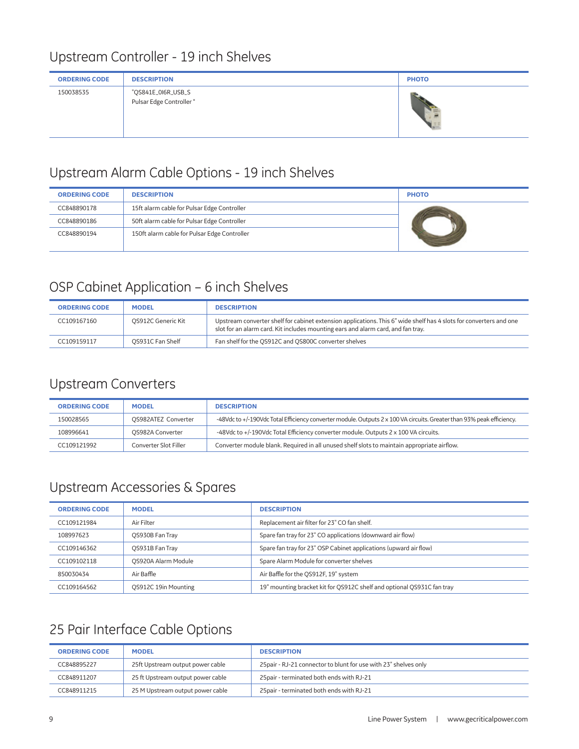#### Upstream Controller - 19 inch Shelves

| <b>ORDERING CODE</b> | <b>DESCRIPTION</b>                             | <b>PHOTO</b> |
|----------------------|------------------------------------------------|--------------|
| 150038535            | "QS841E_0I6R_USB_S<br>Pulsar Edge Controller " |              |

#### Upstream Alarm Cable Options - 19 inch Shelves

| <b>ORDERING CODE</b> | <b>DESCRIPTION</b>                           | <b>PHOTO</b> |
|----------------------|----------------------------------------------|--------------|
| CC848890178          | 15ft alarm cable for Pulsar Edge Controller  |              |
| CC848890186          | 50ft alarm cable for Pulsar Edge Controller  |              |
| CC848890194          | 150ft alarm cable for Pulsar Edge Controller |              |

#### OSP Cabinet Application – 6 inch Shelves

| <b>ORDERING CODE</b> | <b>MODEL</b>       | <b>DESCRIPTION</b>                                                                                                                                                                                     |
|----------------------|--------------------|--------------------------------------------------------------------------------------------------------------------------------------------------------------------------------------------------------|
| CC109167160          | OS912C Generic Kit | Upstream converter shelf for cabinet extension applications. This 6" wide shelf has 4 slots for converters and one<br>slot for an alarm card. Kit includes mounting ears and alarm card, and fan tray. |
| CC109159117          | OS931C Fan Shelf   | Fan shelf for the QS912C and QS800C converter shelves                                                                                                                                                  |

#### Upstream Converters

| <b>ORDERING CODE</b> | <b>MODEL</b>          | <b>DESCRIPTION</b>                                                                                                    |
|----------------------|-----------------------|-----------------------------------------------------------------------------------------------------------------------|
| 150028565            | OS982ATEZ Converter   | -48Vdc to +/-190Vdc Total Efficiency converter module. Outputs 2 x 100 VA circuits. Greater than 93% peak efficiency. |
| 108996641            | OS982A Converter      | -48Vdc to +/-190Vdc Total Efficiency converter module. Outputs 2 x 100 VA circuits.                                   |
| CC109121992          | Converter Slot Filler | Converter module blank. Required in all unused shelf slots to maintain appropriate airflow.                           |

### Upstream Accessories & Spares

| <b>ORDERING CODE</b> | <b>MODEL</b>         | <b>DESCRIPTION</b>                                                     |
|----------------------|----------------------|------------------------------------------------------------------------|
| CC109121984          | Air Filter           | Replacement air filter for 23" CO fan shelf.                           |
| 108997623            | OS930B Fan Tray      | Spare fan tray for 23" CO applications (downward air flow)             |
| CC109146362          | OS931B Fan Tray      | Spare fan tray for 23" OSP Cabinet applications (upward air flow)      |
| CC109102118          | QS920A Alarm Module  | Spare Alarm Module for converter shelves                               |
| 850030434            | Air Baffle           | Air Baffle for the OS912F, 19" system                                  |
| CC109164562          | QS912C 19in Mounting | 19" mounting bracket kit for QS912C shelf and optional QS931C fan tray |

### 25 Pair Interface Cable Options

| <b>ORDERING CODE</b> | <b>MODEL</b>                      | <b>DESCRIPTION</b>                                               |
|----------------------|-----------------------------------|------------------------------------------------------------------|
| CC848895227          | 25ft Upstream output power cable  | 25 pair - RJ-21 connector to blunt for use with 23" shelves only |
| CC848911207          | 25 ft Upstream output power cable | 25 pair - terminated both ends with RJ-21                        |
| CC848911215          | 25 M Upstream output power cable  | 25 pair - terminated both ends with RJ-21                        |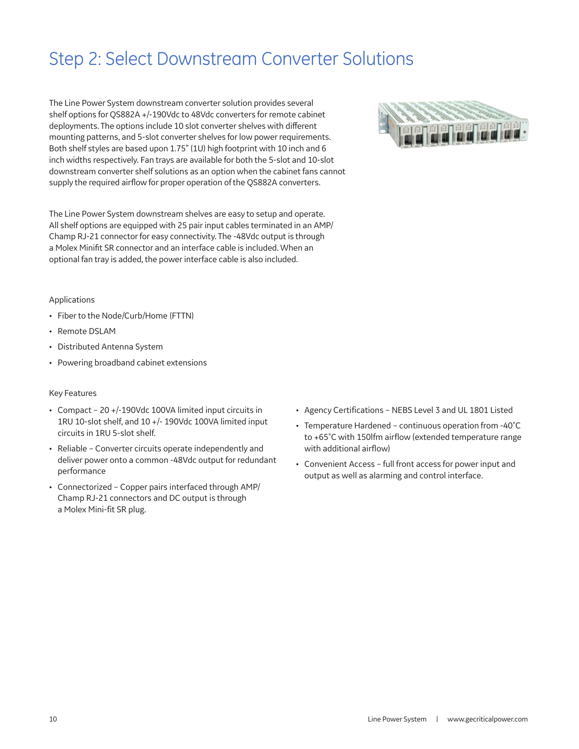## Step 2: Select Downstream Converter Solutions

The Line Power System downstream converter solution provides several shelf options for QS882A +/-190Vdc to 48Vdc converters for remote cabinet deployments. The options include 10 slot converter shelves with different mounting patterns, and 5-slot converter shelves for low power requirements. Both shelf styles are based upon 1.75" (1U) high footprint with 10 inch and 6 inch widths respectively. Fan trays are available for both the 5-slot and 10-slot downstream converter shelf solutions as an option when the cabinet fans cannot supply the required airflow for proper operation of the QS882A converters.

The Line Power System downstream shelves are easy to setup and operate. All shelf options are equipped with 25 pair input cables terminated in an AMP/ Champ RJ-21 connector for easy connectivity. The -48Vdc output is through a Molex Minifit SR connector and an interface cable is included. When an optional fan tray is added, the power interface cable is also included.



#### Applications

- Fiber to the Node/Curb/Home (FTTN)
- Remote DSLAM
- Distributed Antenna System
- Powering broadband cabinet extensions

#### Key Features

- Compact 20 +/-190Vdc 100VA limited input circuits in 1RU 10-slot shelf, and 10 +/- 190Vdc 100VA limited input circuits in 1RU 5-slot shelf.
- Reliable Converter circuits operate independently and deliver power onto a common -48Vdc output for redundant performance
- Connectorized Copper pairs interfaced through AMP/ Champ RJ-21 connectors and DC output is through a Molex Mini-fit SR plug.
- Agency Certifications NEBS Level 3 and UL 1801 Listed
- Temperature Hardened continuous operation from -40˚C to +65˚C with 150lfm airflow (extended temperature range with additional airflow)
- Convenient Access full front access for power input and output as well as alarming and control interface.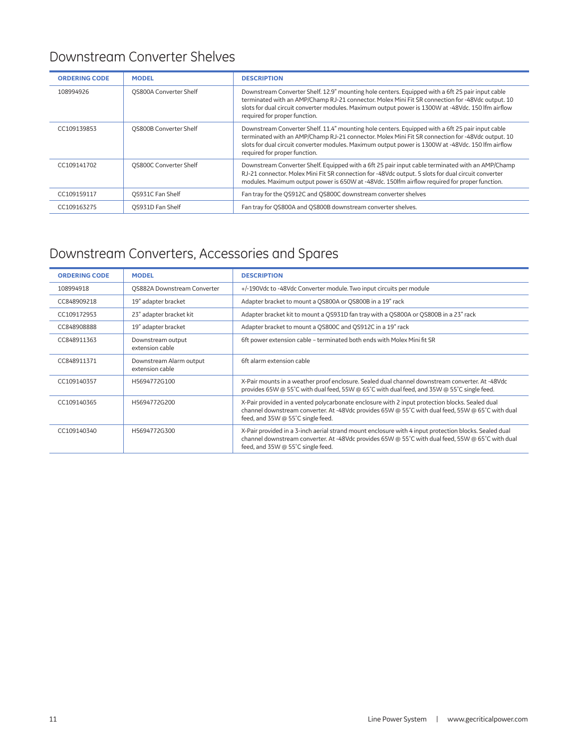#### Downstream Converter Shelves

| <b>ORDERING CODE</b> | <b>MODEL</b>                  | <b>DESCRIPTION</b>                                                                                                                                                                                                                                                                                                                          |
|----------------------|-------------------------------|---------------------------------------------------------------------------------------------------------------------------------------------------------------------------------------------------------------------------------------------------------------------------------------------------------------------------------------------|
| 108994926            | QS800A Converter Shelf        | Downstream Converter Shelf. 12.9" mounting hole centers. Equipped with a 6ft 25 pair input cable<br>terminated with an AMP/Champ RJ-21 connector. Molex Mini Fit SR connection for -48Vdc output. 10<br>slots for dual circuit converter modules. Maximum output power is 1300W at -48Vdc. 150 lfm airflow<br>required for proper function. |
| CC109139853          | OS800B Converter Shelf        | Downstream Converter Shelf. 11.4" mounting hole centers. Equipped with a 6ft 25 pair input cable<br>terminated with an AMP/Champ RJ-21 connector. Molex Mini Fit SR connection for -48Vdc output. 10<br>slots for dual circuit converter modules. Maximum output power is 1300W at -48Vdc. 150 lfm airflow<br>required for proper function. |
| CC109141702          | <b>QS800C Converter Shelf</b> | Downstream Converter Shelf. Equipped with a 6ft 25 pair input cable terminated with an AMP/Champ<br>RJ-21 connector. Molex Mini Fit SR connection for -48Vdc output. 5 slots for dual circuit converter<br>modules. Maximum output power is 650W at -48Vdc. 150lfm airflow required for proper function.                                    |
| CC109159117          | QS931C Fan Shelf              | Fan tray for the OS912C and OS800C downstream converter shelves                                                                                                                                                                                                                                                                             |
| CC109163275          | OS931D Fan Shelf              | Fan tray for QS800A and QS800B downstream converter shelves.                                                                                                                                                                                                                                                                                |

## Downstream Converters, Accessories and Spares

| <b>ORDERING CODE</b> | <b>MODEL</b>                               | <b>DESCRIPTION</b>                                                                                                                                                                                                                             |
|----------------------|--------------------------------------------|------------------------------------------------------------------------------------------------------------------------------------------------------------------------------------------------------------------------------------------------|
| 108994918            | <b>QS882A Downstream Converter</b>         | +/-190Vdc to -48Vdc Converter module. Two input circuits per module                                                                                                                                                                            |
| CC848909218          | 19" adapter bracket                        | Adapter bracket to mount a QS800A or QS800B in a 19" rack                                                                                                                                                                                      |
| CC109172953          | 23" adapter bracket kit                    | Adapter bracket kit to mount a QS931D fan tray with a QS800A or QS800B in a 23" rack                                                                                                                                                           |
| CC848908888          | 19" adapter bracket                        | Adapter bracket to mount a QS800C and QS912C in a 19" rack                                                                                                                                                                                     |
| CC848911363          | Downstream output<br>extension cable       | 6ft power extension cable - terminated both ends with Molex Mini fit SR                                                                                                                                                                        |
| CC848911371          | Downstream Alarm output<br>extension cable | 6ft alarm extension cable                                                                                                                                                                                                                      |
| CC109140357          | H5694772G100                               | X-Pair mounts in a weather proof enclosure. Sealed dual channel downstream converter. At -48Vdc<br>provides 65W @ 55°C with dual feed, 55W @ 65°C with dual feed, and 35W @ 55°C single feed.                                                  |
| CC109140365          | H5694772G200                               | X-Pair provided in a vented polycarbonate enclosure with 2 input protection blocks. Sealed dual<br>channel downstream converter. At -48Vdc provides 65W @ 55°C with dual feed, 55W @ 65°C with dual<br>feed, and 35W @ 55°C single feed.       |
| CC109140340          | H5694772G300                               | X-Pair provided in a 3-inch aerial strand mount enclosure with 4 input protection blocks. Sealed dual<br>channel downstream converter. At -48Vdc provides 65W @ 55°C with dual feed, 55W @ 65°C with dual<br>feed, and 35W @ 55°C single feed. |